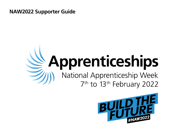**NAW2022 Supporter Guide** 

# Apprenticeships National Apprenticeship Week 7<sup>th</sup> to 13<sup>th</sup> February 2022

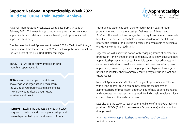# **Support National Apprenticeship Week 2022**

**Build the Future: Train, Retain, Achieve**



National Apprenticeship Week 2022 takes place from 7th to 13th February 2022. This week brings together everyone passionate about apprenticeships to celebrate the value, benefit, and opportunity that apprenticeships bring.

The theme of National Apprenticeship Week 2022 is 'Build the Future', a continuation of the theme used in 2021 and allowing the week to link to the key pillars of the Build Back Better campaign.

**TRAIN** – Future proof your workforce or career though an apprenticeship.

**RETAIN** – Apprentices gain the skills and knowledge your organisation needs, learn the values of your business and make impact. They allow you to develop your future workforce and talent.

**ACHIEVE** – Realise the business benefits and career progression available and how apprenticeships and traineeships can help you transform your future.

Technical education has been transformed in recent years through programmes such as apprenticeships, Traineeships, T Levels, and KickStart. The week will encourage the country to consider and celebrate how technical education can help individuals to develop the skills and knowledge required for a rewarding career, and employers to develop a workforce with future ready skills.

Together we will inspire the nation with engaging stories of apprentices' progression – the increase in their confidence, skills, knowledge and how apprenticeships have kick-started incredible careers. Our advocates will showcase the business benefits and return on investment of employing apprentices, how employers are using apprenticeships to fill skills gaps, upskill and revitalise their workforce ensuring they are future proof and future ready!

National Apprenticeship Week 2022 is a great opportunity to celebrate with all the apprenticeship community, promote the benefits of apprenticeships, of progression opportunities, of new exciting standards and showcase how apprenticeships work for individuals, employers, local communities, and the wider economy.

Let's also use the week to recognise the resilience of employers, training providers, EPAOs (End Point Assessment Organisations) and apprentices during Covid.

Visit https://www.apprenticeships.gov.uk/influencers/naw-2022 to find out more.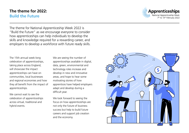## **The theme for 2022: Build the Future**



The theme for National Apprenticeship Week 2022 is "Build the Future" as we encourage everyone to consider how apprenticeships can help individuals to develop the skills and knowledge required for a rewarding career, and employers to develop a workforce with future ready skills.

The 15th annual week-long celebration of apprenticeships, taking place across England, will showcase the impact apprenticeships can have on communities, local businesses and regional economies and how they all benefit from the impact of apprenticeships.

We cannot wait to see the celebration of apprenticeships across virtual, traditional and hybrid events.

We are seeing the number of apprenticeships available in digital, data, green, environmental and technology roles increase and develop in new and innovative areas, and hope to hear some motivating stories of how apprentices have helped employers adapt and develop during a difficult year.

We look forward to seeing the focus on how apprenticeships are not only the future of business success but help to build future careers and support job creation and the economy.

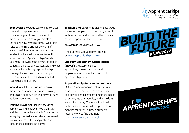

**Employers:** Encourage everyone to consider how training apprentices can build their business for years to come. Speak about the return on investment you are already seeing and how investing in your workforce helps you retain talent. Tell everyone of any successful levy transfers or examples of excellent brokerage by intermediaries. Host a Graduation or Apprenticeship Awards Ceremony. Showcase the diversity of career options and industries now available and what you can achieve through apprenticeships. You might also choose to showcase your wider recruitment offer, such as KickStart, Traineeships, or T Levels.

**Individuals:** Tell your story and discuss the impact of your apprenticeship training, progression opportunities and how you have achieved your career goals.

**Training Providers:** Highlight the great apprentices and employers you work with, and the opportunities available. You may wish to highlight individuals who have progressed from a Traineeship to an apprenticeship, or through the apprenticeship levels.

**Teachers and Careers advisors:** Encourage the young people and adults that you work with to explore and be inspired by the wide range of apprenticeships available.

## **#NAW2022 #BuildTheFuture**

Find out more about apprenticeships at [www.apprenticeships.gov.uk](https://www.apprenticeships.gov.uk/?utm_source=toolkit&utm_medium=web&utm_campaign=NAW2021)

#### **End Point Assessment Organisations**

**(EPAOs):** Showcase the great apprentices, training providers and employers you work with and celebrate apprenticeship success.

## **Apprenticeship Ambassador Network**

**(AAN):** Ambassadors are volunteers who champion apprenticeships to raise awareness and increase engagement to meet the needs of employers, communities, and individuals across the country. There are 9 regional ambassador networks who organise local activities for NAW22. Reach out to your local network to find out more [AAN.CHAIR@education.gov.uk](http://AAN.CHAIR@education.gov.uk)



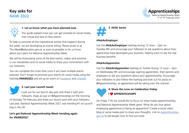# **Key asks for NAW 2022**





## **1. Let us know what you have planned now**

This guide explains how you can get involved on social media, host virtual and face to face events.

To help us promote all the inspirational activity that happens during the week, we are developing an events listing. Please email us at The.Week@education.gov.uk as soon as possible to let us know about your plans for National Apprenticeship Week.

We will be showcasing some of the best events, videos and activities in our newsletters and on social media to share your commitment with our networks.

You can complete this more than once if you have multiple events planned. Don't forget to promote your events on social media using the hashtag **#NAW2022** and set up an event on [Facebook](https://www.facebook.com/help/210413455658361) and [LinkedIn.](https://www.linkedin.com/help/linkedin/answer/98192)

#### **2. Last year Launch tweet**

Look out for our launch day post and share it with your followers. Keep an eye on @Apprenticeships on the morning of Monday 7th February and share our launch post with your followers. Last year, National Apprenticeship Week 2021 was trending #1 on Launch Day in the UK.

## **Let's get National Apprenticeship Week trending again for #NAW2022**!



## **#AskAnEmployer**

Use the **#AskAnEmployer** hashtag during 12 noon – 2pm on Tuesday 8th and encourage your followers to ask questions about how apprentices have developed your business, helping them to see the real business benefits.

## **#AskAnApprentice**

Use the **#AskAnApprentice** hashtag on Twitter during 12 noon – 2pm on Wednesday 9th and encourage aspiring apprentices, their parents and employers to ask you questions about your apprenticeship. Encourage your followers to also follow the hashtag and look out for posts on @Apprenticeships, as apprentices will be taking over the channel.



## On Friday 11th we would like to focus on what makes apprenticeships, and National Apprenticeship Week great. What do you love about employing apprentices or being an apprentice? Create a social video, blog or social media post to share your thoughts. Link to [Apprenticeships.](https://www.apprenticeships.gov.uk/) [gov.uk](https://www.apprenticeships.gov.uk/) to tell people how to find out more.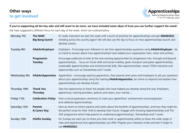

## **If you're supporting all the key asks and still want to do more, we have included some ideas of how you can further support the week!**

We have suggested a different focus for each day of the week, which are outlined below

| Monday 7th    | <b>The NAW</b><br><b>Big Bang launch</b> | It's really important we start the week with a burst of positivity for apprenticeships and get #NAW2022<br>trending across the country again! We will also use the day to focus on how apprenticeships launch and<br>develop careers.                                                                                                                                          |
|---------------|------------------------------------------|--------------------------------------------------------------------------------------------------------------------------------------------------------------------------------------------------------------------------------------------------------------------------------------------------------------------------------------------------------------------------------|
| Tuesday 8th   | #AskAnEmployer                           | Employers - Encourage your followers to ask their apprenticeships questions using #AskAnEmployer - be<br>on hand to answer about how apprenticeships have helped your organisation train, retain and achieve.                                                                                                                                                                  |
|               | Progression<br><b>Tuesday</b>            | Encourage audiences to look at the new exciting opportunities for progression into, through and beyond<br>apprenticeships focus on future skills and social mobility, green transport and green apprenticeships,<br>sustainable apprenticeships and environmental skills, flexi apprenticeships, newer STEM industries and<br>opportunities such as Traineeships and T Levels. |
| Wednesday 9th | #AskAnApprentice                         | Apprentices - encourage aspiring apprentices, their parents and carers and employers to ask you questions<br>about your apprenticeship using the hashtag #AskAnApprentice, be online to respond and explain how<br>apprenticeships can develop futures.                                                                                                                        |
| Thursday 10th | <b>Thank You</b><br><b>Thursday</b>      | Take the opportunity to thank the people who have helped you develop along the way. Employers,<br>apprentices, training providers, parents and carers, your mentor                                                                                                                                                                                                             |
| Friday 11th   | <b>Celebration Friday</b>                | Host a virtual graduation ceremony to mark your apprentices' achievements and progression<br>and celebrate apprenticeships.                                                                                                                                                                                                                                                    |
| Saturday 12th | <b>Parents</b><br>& Carers Day           | Host an event to inform parents and carers about the benefits of apprenticeships, and how they might be<br>the perfect route for their child to develop their future. Engage with Amazing Apprenticeships and The<br>ASK programme which help parents to understand apprenticeships, Traineeships and T Levels.                                                                |
| Sunday 13th   | #Selfie Sunday                           | On Sunday we want you to share your best work or apprenticeship selfies to show the wide range of<br>roles and experiences that apprenticeships can offer. Prepare your cheesiest smiles and don't forget to<br>use #NAW2022.                                                                                                                                                  |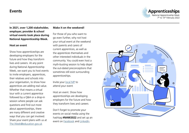## **Events**



**In 2021, over 1,200 stakeholder, employer, provider & school virtual events took place during National Apprenticeship Week.** 

#### **Host an event**

Show how apprenticeships are developing employers for the future and how they transform lives and careers. At any point during National Apprenticeship Week, we want you to host events to invite employers, apprentices, their relatives and schools into your organisation, to show how apprentices are adding real value. Whether that means a virtual tour with a current apprentice followed by a Q&A or a drop-in session where people can ask questions and find out more about apprenticeships, there are many different and creative ways that you can get involved. Share your event plans with us at [The.Week@education.gov.uk](mailto:The.Week%40education.gov.uk?subject=)

### **Make it on the weekend!**

For those of you who want to go even further, why not host your virtual event at the weekend with parents and carers of current apprentices, as well as the apprentices themselves and other interested individuals in the community. You could even host a myth-busting session to help dispel the out-dated preconceptions that sometimes still exist surrounding apprenticeships.

Invite your [local MP](https://members.parliament.uk/members/commons) to attend your event

Host an event. Show how apprenticeships are developing employers for the future and how they transform lives and careers

Don't forget to promote your events on social media using the hashtag **#NAW2022** and set up an event on [Facebook](https://www.facebook.com/help/210413455658361) and [LinkedIn.](https://www.linkedin.com/help/linkedin/answer/98192)

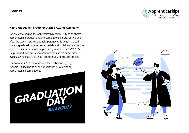

## **Host a Graduation or Apprenticeship Awards Ceremony**

We are encouraging the apprenticeship community to celebrate apprenticeship graduations and completions before, during and after the week. Before National Apprenticeship Week, we will share a **graduation ceremony toolkit** and social media assets to support the celebration of apprentice graduates for NAW 2022. Help support apprentices to promote themselves or promote events taking place that shout about graduate success stories.

Use NAW 2022 as a springboard for celebrations going forward - signalling to all the importance of celebrating apprenticeship completions.



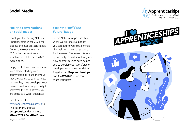## **Social Media**



## **Fuel the conversations on social media**

Thank you for making National Apprenticeship Week 2021 the biggest one ever on social media! During the week there over 500 million impressions across social media – let's make 2022 even bigger.....

Help your followers and everyone interested in starting with apprenticeships to see the value they are adding to your business or how they have developed your career. Use it as an opportunity to showcase the brilliant work you are doing to a wider audience!

# Direct people to

[www.apprenticeships.gov.uk](https://www.apprenticeships.gov.uk/) to find out more, and tag **@Apprenticeships** and use **#NAW2022 #BuildTheFuture** in your posts!

## **Wear the** *'Build the Future'* **Badge**

Before National Apprenticeship Week we will share a 'badge' you can add to your social media channels to show your support for the week. Please use this as an opportunity to post about why and how apprenticeships have helped you to develop your workforce or developed your career. And don't forget to tag **@Apprenticeships** and **#NAW2022** so we can share your posts!



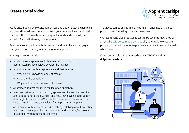## **Create social video:**



We're encouraging employers, apprentices and apprenticeship champions to create short video content to share on your organisation's social media channels. This isn't nearly as daunting as it sounds and can easily be recorded (and edited) using a smartphone.

Be as creative as you like with this content and try to have an engaging background (avoid sitting in a meeting room if possible).

## You might like to consider:

- a video of your apprentices/colleagues talking about how apprenticeships have helped develop their career
- a short interview with an apprentice and their mentor
	- Why did you choose an apprenticeship?
	- What are the benefits?
	- Why would you recommend it to others?
- a summary of a typical day in the life of an apprentice
- a representative talking about why apprenticeships and traineeships are so important to the business, and how they have helped support it through the pandemic (What are the business benefits/return on investment, how have they helped future proof the company)
- an interview with a parent, friend or colleague talking about how they are proud of an apprentice's achievements and how they've grown/ developed through their apprenticeship

The videos can be as informal as you like – social media is a great place to have fun trying out some new ideas.

We recommend video footage is kept to 90 seconds max. Drop us an email [\(Social.Apps@education.gov.uk\)](mailto:Social.Apps%40education.gov.uk?subject=), to let us know you are planning to record some footage so we can share it on our channels where possible.

When posting please use the hashtag **#NAW2022** and tag **@Apprenticeships**.